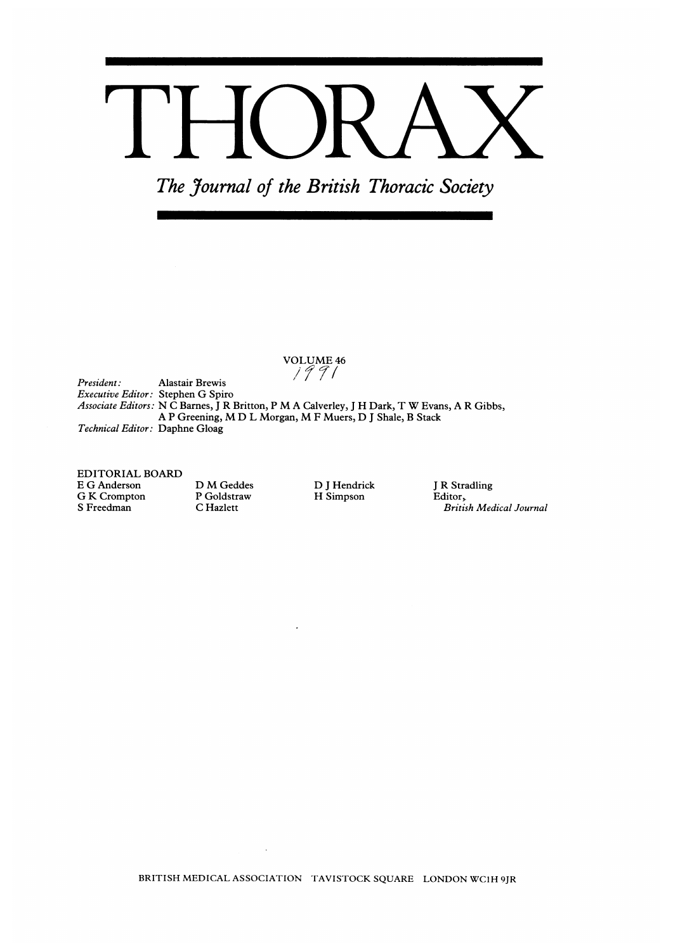# TH  $\overline{\phantom{a}}$

The Journal of the British Thoracic Society

VOLUME <sup>46</sup>

President: Executive Editor: Stephen G Spiro Associate Editors: N <sup>C</sup> Barnes, <sup>J</sup> R Britton, <sup>P</sup> M A Calverley, <sup>J</sup> H Dark, T W Evans, A <sup>R</sup> Gibbs, Technical Editor: Daphne Gloag Alastair Brewis A <sup>P</sup> Greening, M D L Morgan, M <sup>F</sup> Muers, D <sup>J</sup> Shale, <sup>B</sup> Stack

 $\ddot{\phantom{a}}$ 

EDITORIAL BOARD E G Anderson G K Crompton S Freedman

D M Geddes P Goldstraw C Hazlett

D <sup>J</sup> Hendrick H Simpson

<sup>J</sup> R Stradling Editor,. British Medical Journal